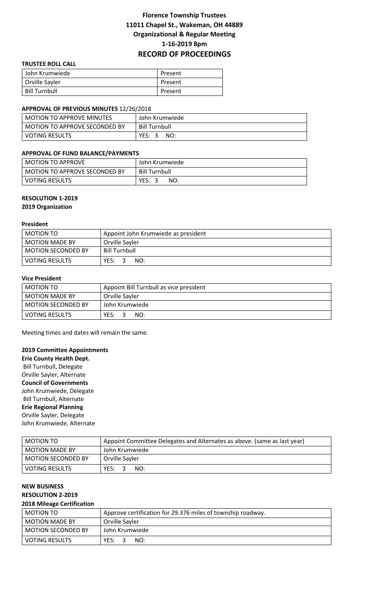# **Florence Township Trustees 11011 Chapel St., Wakeman, OH 44889 Organizational & Regular Meeting 1-16-2019 8pm RECORD OF PROCEEDINGS**

### **TRUSTEE ROLL CALL**

| John Krumwiede       | Present |
|----------------------|---------|
| Orville Sayler       | Present |
| <b>Bill Turnbull</b> | Present |

### **APPROVAL OF PREVIOUS MINUTES** 12/26/2018

| <b>MOTION TO APPROVE MINUTES</b> | John Krumwiede       |
|----------------------------------|----------------------|
| MOTION TO APPROVE SECONDED BY    | <b>Bill Turnbull</b> |
| <b>VOTING RESULTS</b>            | YES:<br>NO:          |

### **APPROVAL OF FUND BALANCE/PAYMENTS**

| <b>MOTION TO APPROVE</b>      | John Krumwiede       |
|-------------------------------|----------------------|
| MOTION TO APPROVE SECONDED BY | <b>Bill Turnbull</b> |
| VOTING RESULTS                | YES:<br>NO:          |

### **RESOLUTION 1-2019**

**2019 Organization**

#### **President**

| MOTION TO                 | Appoint John Krumwiede as president |
|---------------------------|-------------------------------------|
| <b>MOTION MADE BY</b>     | Orville Savler                      |
| <b>MOTION SECONDED BY</b> | Bill Turnbull                       |
| <b>VOTING RESULTS</b>     | YES:<br>NO:                         |

# **Vice President**

| MOTION TO                 | Appoint Bill Turnbull as vice president |
|---------------------------|-----------------------------------------|
| <b>MOTION MADE BY</b>     | Orville Sayler                          |
| <b>MOTION SECONDED BY</b> | John Krumwiede                          |
| <b>VOTING RESULTS</b>     | YES:<br>NO:                             |

Meeting times and dates will remain the same.

### **2019 Committee Appointments**

**Erie County Health Dept.** Bill Turnbull, Delegate Orville Sayler, Alternate **Council of Governments** John Krumwiede, Delegate Bill Turnbull, Alternate **Erie Regional Planning** Orville Sayler, Delegate John Krumwiede, Alternate

| MOTION TO                 | Appoint Committee Delegates and Alternates as above. (same as last year) |  |  |
|---------------------------|--------------------------------------------------------------------------|--|--|
| <b>MOTION MADE BY</b>     | John Krumwiede                                                           |  |  |
| <b>MOTION SECONDED BY</b> | Orville Sayler                                                           |  |  |
| <b>VOTING RESULTS</b>     | NO:<br>YES:                                                              |  |  |

# **NEW BUSINESS RESOLUTION 2-2019**

#### **2018 Mileage Certification**

| MOTION TO                 | Approve certification for 29.376 miles of township roadway. |  |
|---------------------------|-------------------------------------------------------------|--|
| <b>MOTION MADE BY</b>     | Orville Sayler                                              |  |
| <b>MOTION SECONDED BY</b> | John Krumwiede                                              |  |
| <b>VOTING RESULTS</b>     | YES:<br>NO:                                                 |  |